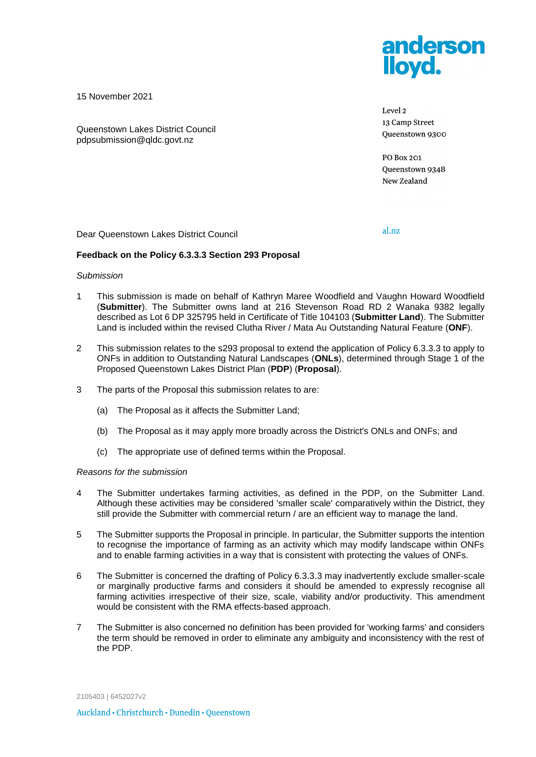

15 November 2021

Queenstown Lakes District Council pdpsubmission@qldc.govt.nz

Level 2 13 Camp Street Queenstown 9300

**PO Box 201** Queenstown 9348 New Zealand

Dear Queenstown Lakes District Council

al.nz

## **Feedback on the Policy 6.3.3.3 Section 293 Proposal**

#### *Submission*

- 1 This submission is made on behalf of Kathryn Maree Woodfield and Vaughn Howard Woodfield (**Submitter**). The Submitter owns land at 216 Stevenson Road RD 2 Wanaka 9382 legally described as Lot 6 DP 325795 held in Certificate of Title 104103 (**Submitter Land**). The Submitter Land is included within the revised Clutha River / Mata Au Outstanding Natural Feature (**ONF**).
- 2 This submission relates to the s293 proposal to extend the application of Policy 6.3.3.3 to apply to ONFs in addition to Outstanding Natural Landscapes (**ONLs**), determined through Stage 1 of the Proposed Queenstown Lakes District Plan (**PDP**) (**Proposal**).
- 3 The parts of the Proposal this submission relates to are:
	- (a) The Proposal as it affects the Submitter Land;
	- (b) The Proposal as it may apply more broadly across the District's ONLs and ONFs; and
	- (c) The appropriate use of defined terms within the Proposal.

### *Reasons for the submission*

- 4 The Submitter undertakes farming activities, as defined in the PDP, on the Submitter Land. Although these activities may be considered 'smaller scale' comparatively within the District, they still provide the Submitter with commercial return / are an efficient way to manage the land.
- 5 The Submitter supports the Proposal in principle. In particular, the Submitter supports the intention to recognise the importance of farming as an activity which may modify landscape within ONFs and to enable farming activities in a way that is consistent with protecting the values of ONFs.
- 6 The Submitter is concerned the drafting of Policy 6.3.3.3 may inadvertently exclude smaller-scale or marginally productive farms and considers it should be amended to expressly recognise all farming activities irrespective of their size, scale, viability and/or productivity. This amendment would be consistent with the RMA effects-based approach.
- 7 The Submitter is also concerned no definition has been provided for 'working farms' and considers the term should be removed in order to eliminate any ambiguity and inconsistency with the rest of the PDP.

2105403 | 6452027v2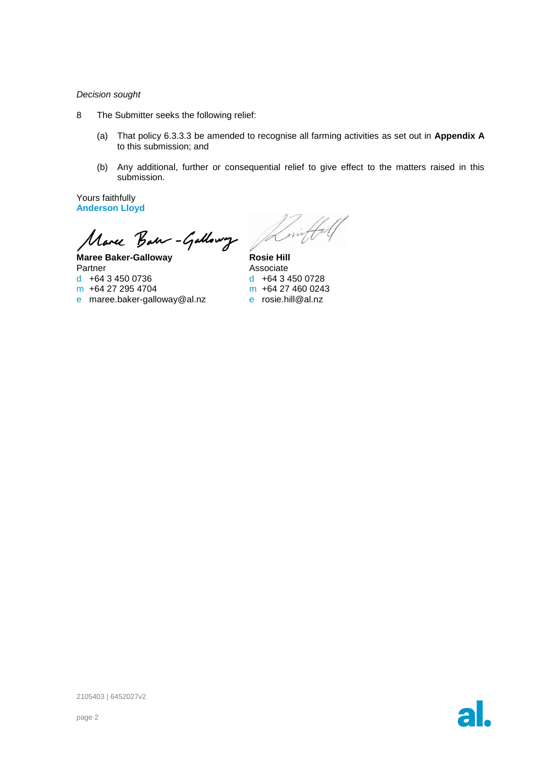### *Decision sought*

- 8 The Submitter seeks the following relief:
	- (a) That policy 6.3.3.3 be amended to recognise all farming activities as set out in **Appendix A** to this submission; and
	- (b) Any additional, further or consequential relief to give effect to the matters raised in this submission.

Yours faithfully **Anderson Lloyd**

Marce Barn-Gallowy Jam

**Maree Baker-Galloway** Partner d +64 3 450 0736 m +64 27 295 4704

e maree.baker-galloway@al.nz

**Rosie Hill** Associate d +64 3 450 0728 m +64 27 460 0243 e rosie.hill@al.nz